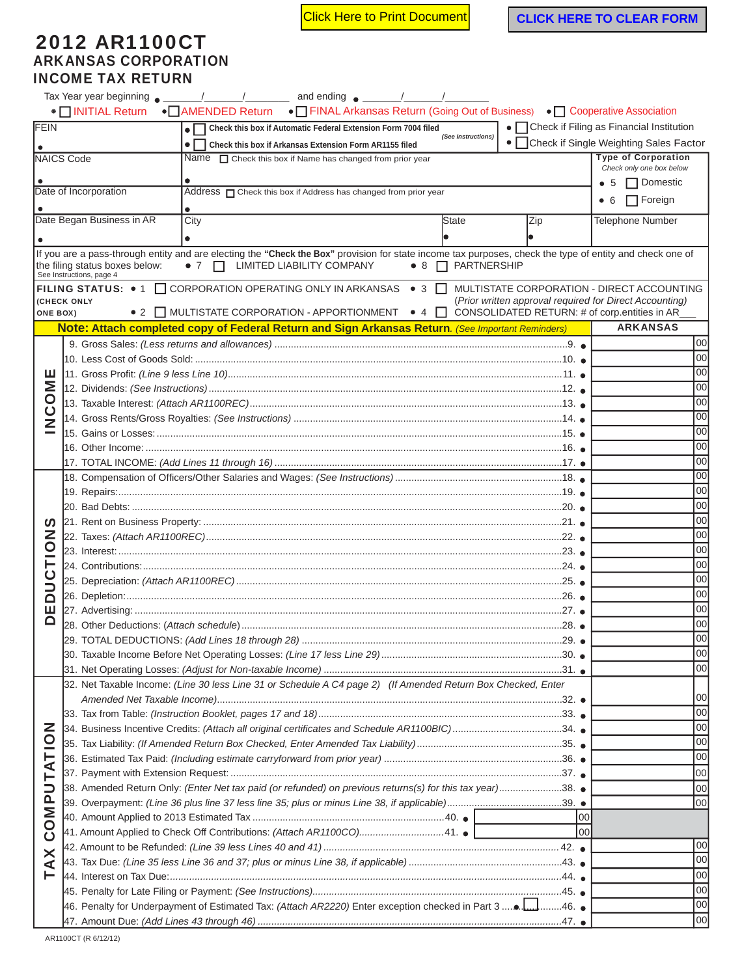**Click Here to Print Document CLICK HERE TO CLEAR FORM** 

## 2012 AR1100CT ARKANSAS CORPORATION INCOME TAX RETURN

|                                                                 | Tax Year year beginning $\sim$ / / and ending $\sim$ / / /                                                                                                                                                             |      |                                                                                                  |  |                                |                                                         |     |                                                        |  |
|-----------------------------------------------------------------|------------------------------------------------------------------------------------------------------------------------------------------------------------------------------------------------------------------------|------|--------------------------------------------------------------------------------------------------|--|--------------------------------|---------------------------------------------------------|-----|--------------------------------------------------------|--|
|                                                                 | • INITIAL Return • IMMENDED Return • ITINAL Arkansas Return (Going Out of Business) • I Cooperative Association                                                                                                        |      |                                                                                                  |  |                                |                                                         |     |                                                        |  |
| FEIN                                                            |                                                                                                                                                                                                                        |      | • Check this box if Automatic Federal Extension Form 7004 filed                                  |  | (See Instructions)             |                                                         |     | • Check if Filing as Financial Institution             |  |
|                                                                 | Check this box if Arkansas Extension Form AR1155 filed                                                                                                                                                                 |      |                                                                                                  |  |                                |                                                         |     | • Check if Single Weighting Sales Factor               |  |
|                                                                 | <b>NAICS Code</b>                                                                                                                                                                                                      |      | Name $\Box$ Check this box if Name has changed from prior year                                   |  |                                |                                                         |     | <b>Type of Corporation</b><br>Check only one box below |  |
|                                                                 |                                                                                                                                                                                                                        |      | $\bullet$ 5 $\Box$ Domestic                                                                      |  |                                |                                                         |     |                                                        |  |
|                                                                 | Date of Incorporation                                                                                                                                                                                                  |      |                                                                                                  |  |                                |                                                         |     |                                                        |  |
|                                                                 |                                                                                                                                                                                                                        |      |                                                                                                  |  |                                |                                                         | • 6 | $\Box$ Foreign                                         |  |
|                                                                 | Date Began Business in AR                                                                                                                                                                                              | City |                                                                                                  |  | State                          | Zip                                                     |     | <b>Telephone Number</b>                                |  |
|                                                                 |                                                                                                                                                                                                                        |      |                                                                                                  |  |                                |                                                         |     |                                                        |  |
|                                                                 | If you are a pass-through entity and are electing the "Check the Box" provision for state income tax purposes, check the type of entity and check one of<br>the filing status boxes below:<br>See Instructions, page 4 |      | • 7   LIMITED LIABILITY COMPANY                                                                  |  | $\bullet$ 8 $\Box$ PARTNERSHIP |                                                         |     |                                                        |  |
|                                                                 | FILING STATUS: • 1 □ CORPORATION OPERATING ONLY IN ARKANSAS • 3 □                                                                                                                                                      |      |                                                                                                  |  |                                |                                                         |     | MULTISTATE CORPORATION - DIRECT ACCOUNTING             |  |
| <b>ONE BOX)</b>                                                 | (CHECK ONLY                                                                                                                                                                                                            |      | ● 2 ■ MULTISTATE CORPORATION - APPORTIONMENT ● 4 ■ CONSOLIDATED RETURN: # of corp.entities in AR |  |                                | (Prior written approval required for Direct Accounting) |     |                                                        |  |
|                                                                 | Note: Attach completed copy of Federal Return and Sign Arkansas Return. (See Important Reminders)                                                                                                                      |      |                                                                                                  |  |                                |                                                         |     | <b>ARKANSAS</b>                                        |  |
|                                                                 |                                                                                                                                                                                                                        |      |                                                                                                  |  |                                |                                                         |     | 00                                                     |  |
|                                                                 |                                                                                                                                                                                                                        |      |                                                                                                  |  |                                |                                                         |     | 00                                                     |  |
| ш                                                               |                                                                                                                                                                                                                        |      |                                                                                                  |  |                                |                                                         |     | 00                                                     |  |
| <b>INOOI</b>                                                    |                                                                                                                                                                                                                        |      |                                                                                                  |  |                                |                                                         |     | 00                                                     |  |
|                                                                 |                                                                                                                                                                                                                        |      |                                                                                                  |  |                                |                                                         |     | 00                                                     |  |
|                                                                 |                                                                                                                                                                                                                        |      |                                                                                                  |  |                                |                                                         |     | 00                                                     |  |
| Ž                                                               |                                                                                                                                                                                                                        |      |                                                                                                  |  |                                |                                                         |     | 00                                                     |  |
|                                                                 |                                                                                                                                                                                                                        |      |                                                                                                  |  |                                |                                                         |     | 00                                                     |  |
|                                                                 | 17. TOTAL INCOME: <i>(Add Lines 11 through 16)………………………………………………………………………………………</i> 17. ●                                                                                                                              |      |                                                                                                  |  |                                |                                                         |     | 00                                                     |  |
|                                                                 |                                                                                                                                                                                                                        |      |                                                                                                  |  |                                |                                                         |     | 00                                                     |  |
| ທ<br>NOI                                                        |                                                                                                                                                                                                                        |      |                                                                                                  |  |                                |                                                         |     | 00                                                     |  |
|                                                                 |                                                                                                                                                                                                                        |      |                                                                                                  |  |                                |                                                         |     | 00                                                     |  |
|                                                                 |                                                                                                                                                                                                                        |      |                                                                                                  |  |                                |                                                         |     | 00                                                     |  |
|                                                                 |                                                                                                                                                                                                                        |      |                                                                                                  |  |                                |                                                         |     | 00                                                     |  |
|                                                                 |                                                                                                                                                                                                                        |      |                                                                                                  |  |                                |                                                         |     | 00                                                     |  |
|                                                                 |                                                                                                                                                                                                                        |      |                                                                                                  |  |                                |                                                         |     |                                                        |  |
| <u>ن</u><br>כ                                                   |                                                                                                                                                                                                                        |      |                                                                                                  |  |                                |                                                         |     |                                                        |  |
| $\Box$                                                          |                                                                                                                                                                                                                        |      |                                                                                                  |  |                                |                                                         |     | 00<br>00                                               |  |
| ш                                                               |                                                                                                                                                                                                                        |      |                                                                                                  |  |                                |                                                         |     |                                                        |  |
| Q                                                               |                                                                                                                                                                                                                        |      |                                                                                                  |  |                                |                                                         |     | 00<br>00                                               |  |
|                                                                 |                                                                                                                                                                                                                        |      |                                                                                                  |  |                                |                                                         |     | 00                                                     |  |
|                                                                 |                                                                                                                                                                                                                        |      |                                                                                                  |  |                                |                                                         |     | 00                                                     |  |
|                                                                 |                                                                                                                                                                                                                        |      | 00                                                                                               |  |                                |                                                         |     |                                                        |  |
|                                                                 | 32. Net Taxable Income: (Line 30 less Line 31 or Schedule A C4 page 2) (If Amended Return Box Checked, Enter                                                                                                           |      |                                                                                                  |  |                                |                                                         |     |                                                        |  |
|                                                                 |                                                                                                                                                                                                                        |      | 00                                                                                               |  |                                |                                                         |     |                                                        |  |
|                                                                 |                                                                                                                                                                                                                        |      | 00                                                                                               |  |                                |                                                         |     |                                                        |  |
| $\overline{5}$<br>TAT<br><b>UdMO</b><br>Ō<br>$\bm{\times}$<br>⋖ | 34. Business Incentive Credits: (Attach all original certificates and Schedule AR1100BIC)34.                                                                                                                           |      | 00                                                                                               |  |                                |                                                         |     |                                                        |  |
|                                                                 |                                                                                                                                                                                                                        |      | 00                                                                                               |  |                                |                                                         |     |                                                        |  |
|                                                                 |                                                                                                                                                                                                                        |      | 00                                                                                               |  |                                |                                                         |     |                                                        |  |
|                                                                 |                                                                                                                                                                                                                        |      |                                                                                                  |  |                                |                                                         |     | 00                                                     |  |
|                                                                 | 38. Amended Return Only: (Enter Net tax paid (or refunded) on previous returns(s) for this tax year)38. ●                                                                                                              |      |                                                                                                  |  |                                |                                                         |     | 00                                                     |  |
|                                                                 |                                                                                                                                                                                                                        |      |                                                                                                  |  |                                |                                                         |     | 00                                                     |  |
|                                                                 |                                                                                                                                                                                                                        | 00   |                                                                                                  |  |                                |                                                         |     |                                                        |  |
|                                                                 | 41. Amount Applied to Check Off Contributions: (Attach AR1100CO)41. ● [                                                                                                                                                | loo  |                                                                                                  |  |                                |                                                         |     |                                                        |  |
|                                                                 |                                                                                                                                                                                                                        |      | 00                                                                                               |  |                                |                                                         |     |                                                        |  |
|                                                                 |                                                                                                                                                                                                                        |      | 00                                                                                               |  |                                |                                                         |     |                                                        |  |
|                                                                 |                                                                                                                                                                                                                        |      | 00                                                                                               |  |                                |                                                         |     |                                                        |  |
|                                                                 |                                                                                                                                                                                                                        |      | 00                                                                                               |  |                                |                                                         |     |                                                        |  |
|                                                                 | ـ .46.  أِسْياً 45. [ac. Penalty for Underpayment of Estimated Tax: <i>(Attach AR2220)</i> Enter exception checked in Part 3. <b></b> . أَسْياً46.                                                                     |      |                                                                                                  |  |                                |                                                         |     | 00                                                     |  |
|                                                                 |                                                                                                                                                                                                                        |      |                                                                                                  |  |                                |                                                         |     | 00                                                     |  |
|                                                                 |                                                                                                                                                                                                                        |      |                                                                                                  |  |                                |                                                         |     |                                                        |  |